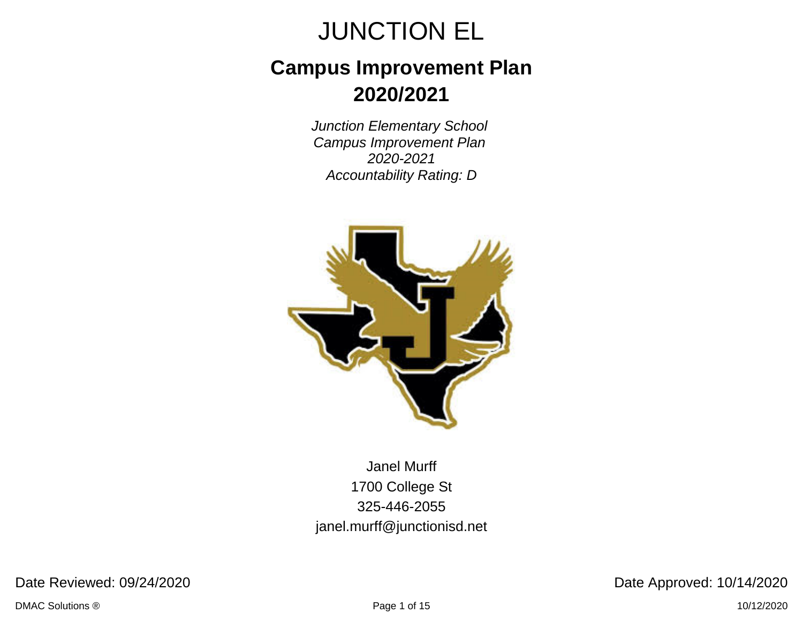## **Campus Improvement Plan 2020/2021**

Junction Elementary School Campus Improvement Plan 2020-2021 Accountability Rating: D



Janel Murff 1700 College St 325-446-2055 janel.murff@junctionisd.net

Date Reviewed: 09/24/2020 Date Approved: 10/14/2020

DMAC Solutions ® Page 1 of 15 10/12/2020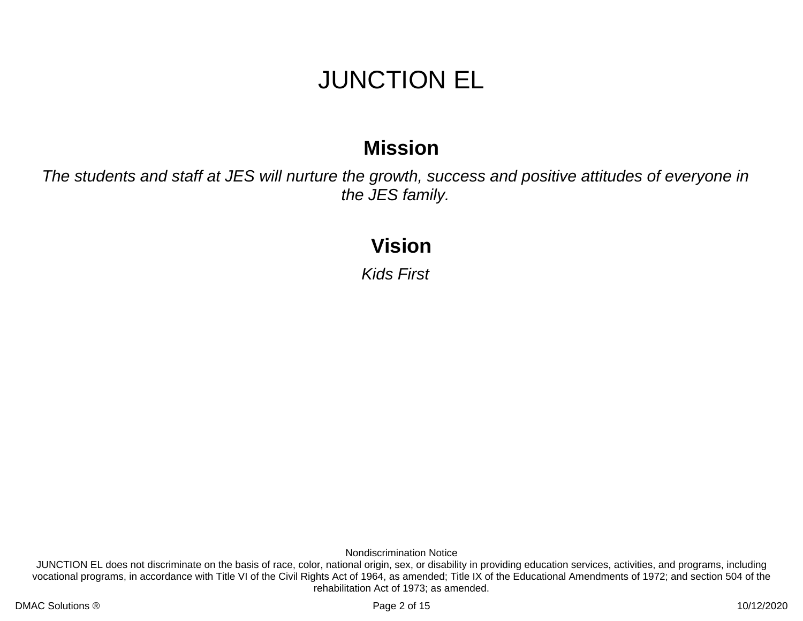### **Mission**

The students and staff at JES will nurture the growth, success and positive attitudes of everyone in the JES family.

### **Vision**

Kids First

Nondiscrimination Notice

JUNCTION EL does not discriminate on the basis of race, color, national origin, sex, or disability in providing education services, activities, and programs, including vocational programs, in accordance with Title VI of the Civil Rights Act of 1964, as amended; Title IX of the Educational Amendments of 1972; and section 504 of the rehabilitation Act of 1973; as amended.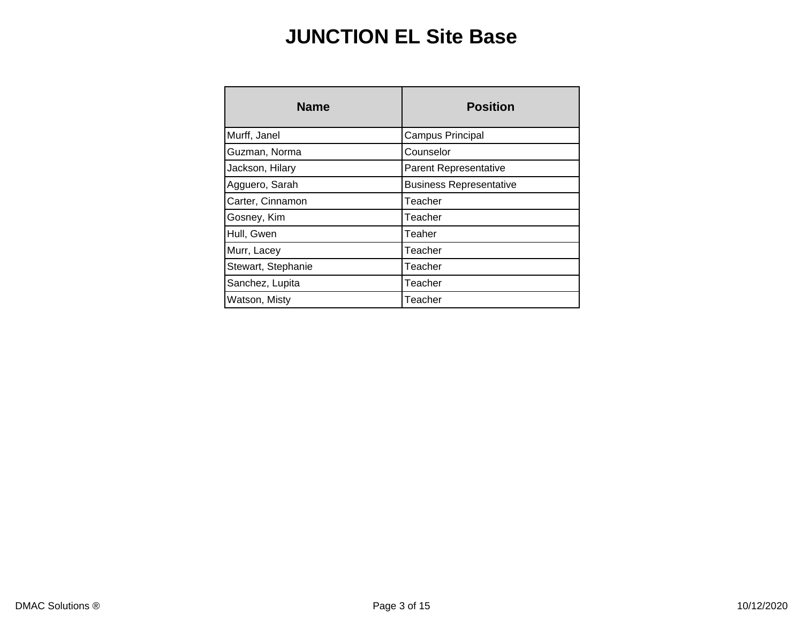### **JUNCTION EL Site Base**

| <b>Name</b>        | <b>Position</b>                |  |  |
|--------------------|--------------------------------|--|--|
| Murff, Janel       | Campus Principal               |  |  |
| Guzman, Norma      | Counselor                      |  |  |
| Jackson, Hilary    | <b>Parent Representative</b>   |  |  |
| Agguero, Sarah     | <b>Business Representative</b> |  |  |
| Carter, Cinnamon   | Teacher                        |  |  |
| Gosney, Kim        | Teacher                        |  |  |
| Hull, Gwen         | Teaher                         |  |  |
| Murr, Lacey        | Teacher                        |  |  |
| Stewart, Stephanie | Teacher                        |  |  |
| Sanchez, Lupita    | Teacher                        |  |  |
| Watson, Misty      | Teacher                        |  |  |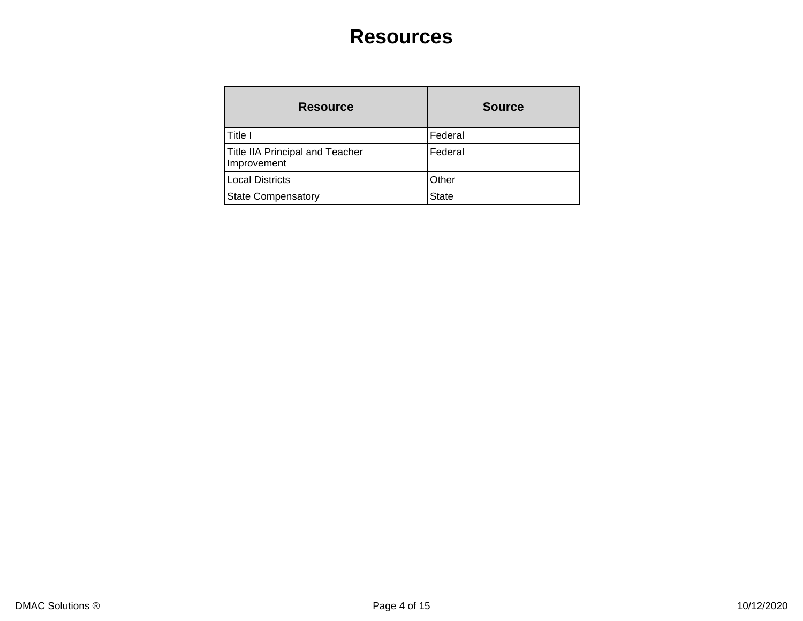### **Resources**

| <b>Resource</b>                                       | <b>Source</b> |
|-------------------------------------------------------|---------------|
| Title I                                               | Federal       |
| <b>Title IIA Principal and Teacher</b><br>Improvement | Federal       |
| <b>Local Districts</b>                                | Other         |
| <b>State Compensatory</b>                             | <b>State</b>  |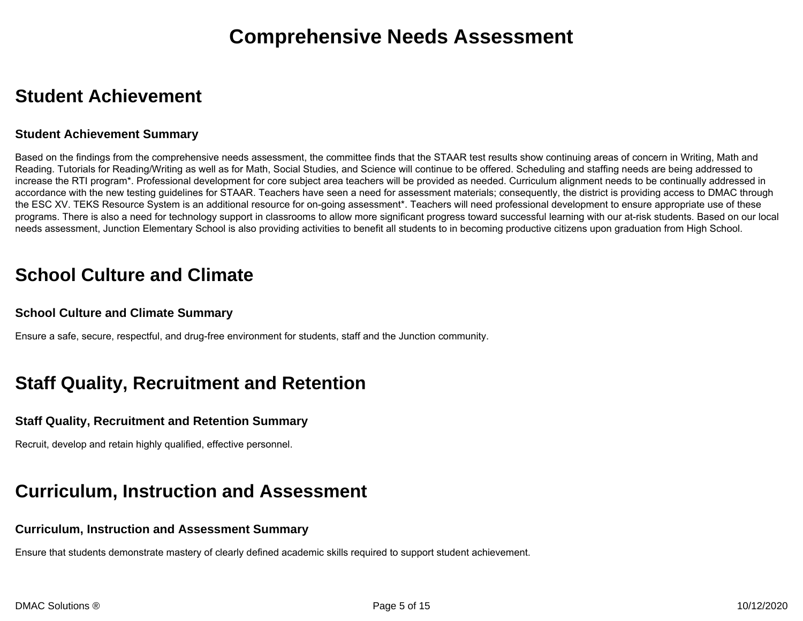### **Student Achievement**

#### **Student Achievement Summary**

Based on the findings from the comprehensive needs assessment, the committee finds that the STAAR test results show continuing areas of concern in Writing, Math and Reading. Tutorials for Reading/Writing as well as for Math, Social Studies, and Science will continue to be offered. Scheduling and staffing needs are being addressed to increase the RTI program\*. Professional development for core subject area teachers will be provided as needed. Curriculum alignment needs to be continually addressed in accordance with the new testing guidelines for STAAR. Teachers have seen a need for assessment materials; consequently, the district is providing access to DMAC through the ESC XV. TEKS Resource System is an additional resource for on-going assessment\*. Teachers will need professional development to ensure appropriate use of these programs. There is also a need for technology support in classrooms to allow more significant progress toward successful learning with our at-risk students. Based on our local needs assessment, Junction Elementary School is also providing activities to benefit all students to in becoming productive citizens upon graduation from High School.

### **School Culture and Climate**

#### **School Culture and Climate Summary**

Ensure a safe, secure, respectful, and drug-free environment for students, staff and the Junction community.

### **Staff Quality, Recruitment and Retention**

#### **Staff Quality, Recruitment and Retention Summary**

Recruit, develop and retain highly qualified, effective personnel.

### **Curriculum, Instruction and Assessment**

#### **Curriculum, Instruction and Assessment Summary**

Ensure that students demonstrate mastery of clearly defined academic skills required to support student achievement.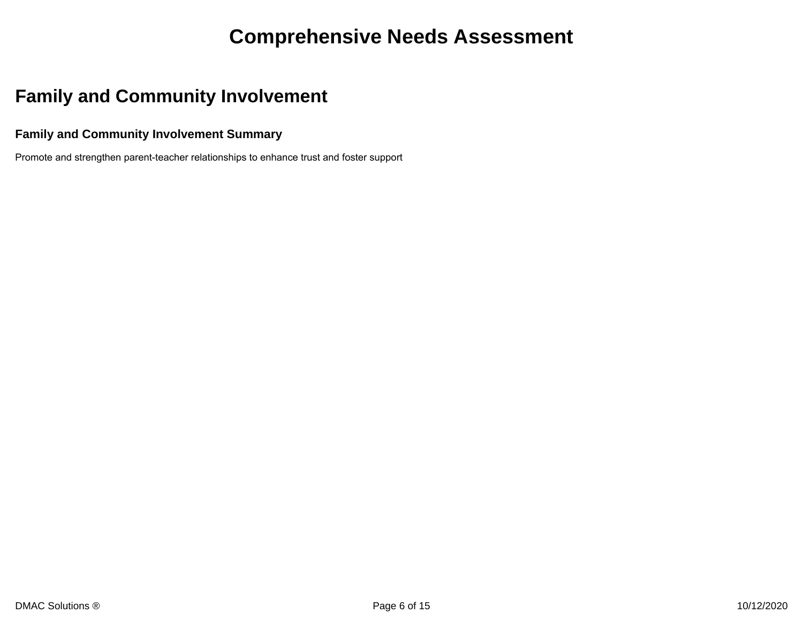### **Comprehensive Needs Assessment**

### **Family and Community Involvement**

#### **Family and Community Involvement Summary**

Promote and strengthen parent-teacher relationships to enhance trust and foster support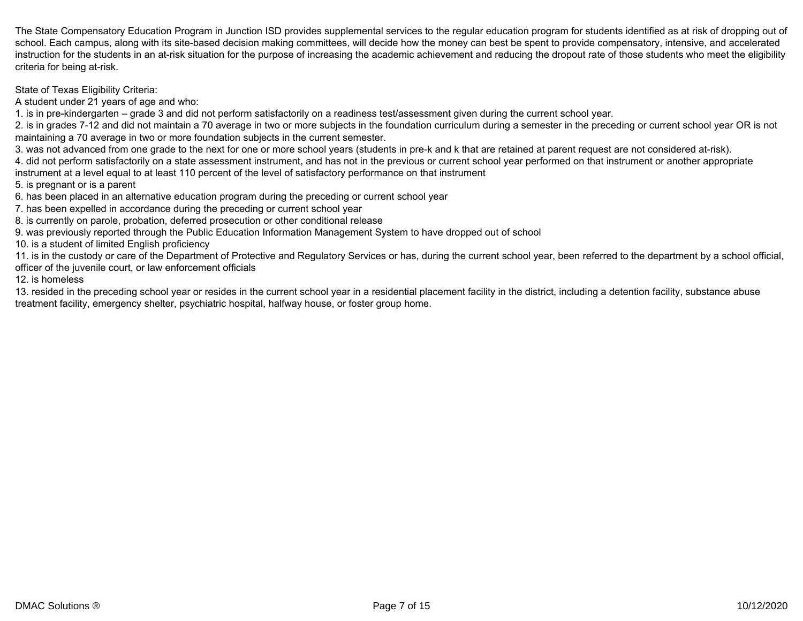The State Compensatory Education Program in Junction ISD provides supplemental services to the regular education program for students identified as at risk of dropping out of school. Each campus, along with its site-based decision making committees, will decide how the money can best be spent to provide compensatory, intensive, and accelerated instruction for the students in an at-risk situation for the purpose of increasing the academic achievement and reducing the dropout rate of those students who meet the eligibility criteria for being at-risk.

State of Texas Eligibility Criteria:

A student under 21 years of age and who:

1. is in pre-kindergarten – grade 3 and did not perform satisfactorily on a readiness test/assessment given during the current school year.

2. is in grades 7-12 and did not maintain a 70 average in two or more subjects in the foundation curriculum during a semester in the preceding or current school year OR is not maintaining a 70 average in two or more foundation subjects in the current semester.

3. was not advanced from one grade to the next for one or more school years (students in pre-k and k that are retained at parent request are not considered at-risk).

4. did not perform satisfactorily on a state assessment instrument, and has not in the previous or current school year performed on that instrument or another appropriate instrument at a level equal to at least 110 percent of the level of satisfactory performance on that instrument

5. is pregnant or is a parent

6. has been placed in an alternative education program during the preceding or current school year

7. has been expelled in accordance during the preceding or current school year

8. is currently on parole, probation, deferred prosecution or other conditional release

9. was previously reported through the Public Education Information Management System to have dropped out of school

10. is a student of limited English proficiency

11. is in the custody or care of the Department of Protective and Regulatory Services or has, during the current school year, been referred to the department by a school official, officer of the juvenile court, or law enforcement officials

12. is homeless

13. resided in the preceding school year or resides in the current school year in a residential placement facility in the district, including a detention facility, substance abuse treatment facility, emergency shelter, psychiatric hospital, halfway house, or foster group home.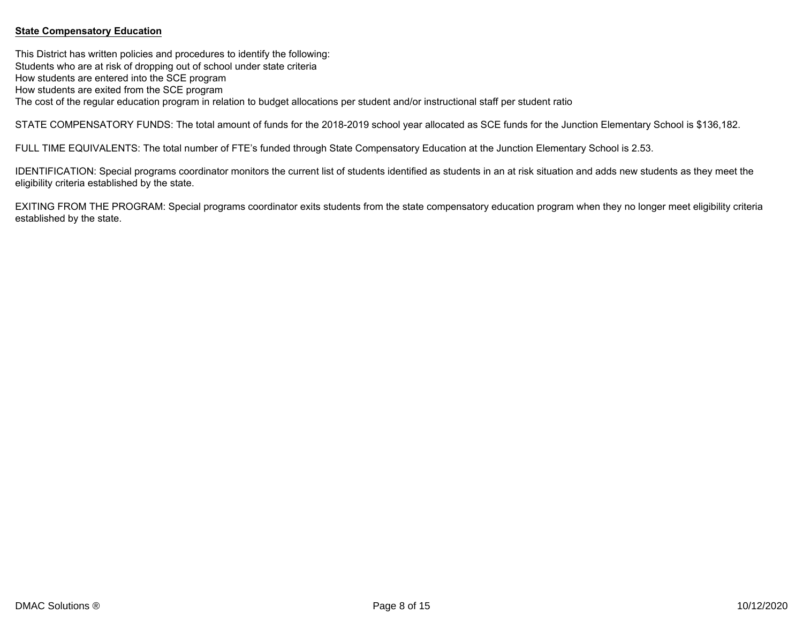#### **State Compensatory Education**

This District has written policies and procedures to identify the following: Students who are at risk of dropping out of school under state criteria How students are entered into the SCE program How students are exited from the SCE program The cost of the regular education program in relation to budget allocations per student and/or instructional staff per student ratio

STATE COMPENSATORY FUNDS: The total amount of funds for the 2018-2019 school year allocated as SCE funds for the Junction Elementary School is \$136,182.

FULL TIME EQUIVALENTS: The total number of FTE's funded through State Compensatory Education at the Junction Elementary School is 2.53.

IDENTIFICATION: Special programs coordinator monitors the current list of students identified as students in an at risk situation and adds new students as they meet the eligibility criteria established by the state.

EXITING FROM THE PROGRAM: Special programs coordinator exits students from the state compensatory education program when they no longer meet eligibility criteria established by the state.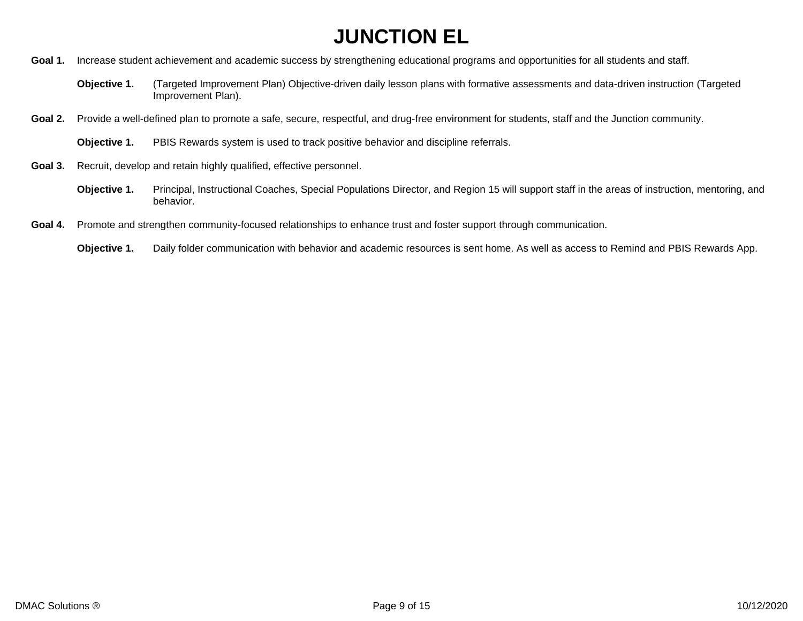- Goal 1. Increase student achievement and academic success by strengthening educational programs and opportunities for all students and staff.
	- **Objective 1.** (Targeted Improvement Plan) Objective-driven daily lesson plans with formative assessments and data-driven instruction (Targeted Improvement Plan).
- Goal 2. Provide a well-defined plan to promote a safe, secure, respectful, and drug-free environment for students, staff and the Junction community.
	- **Objective 1.** PBIS Rewards system is used to track positive behavior and discipline referrals.
- **Goal 3.** Recruit, develop and retain highly qualified, effective personnel.
	- **Objective 1.** Principal, Instructional Coaches, Special Populations Director, and Region 15 will support staff in the areas of instruction, mentoring, and behavior.
- **Goal 4.** Promote and strengthen community-focused relationships to enhance trust and foster support through communication.
	- **Objective 1.** Daily folder communication with behavior and academic resources is sent home. As well as access to Remind and PBIS Rewards App.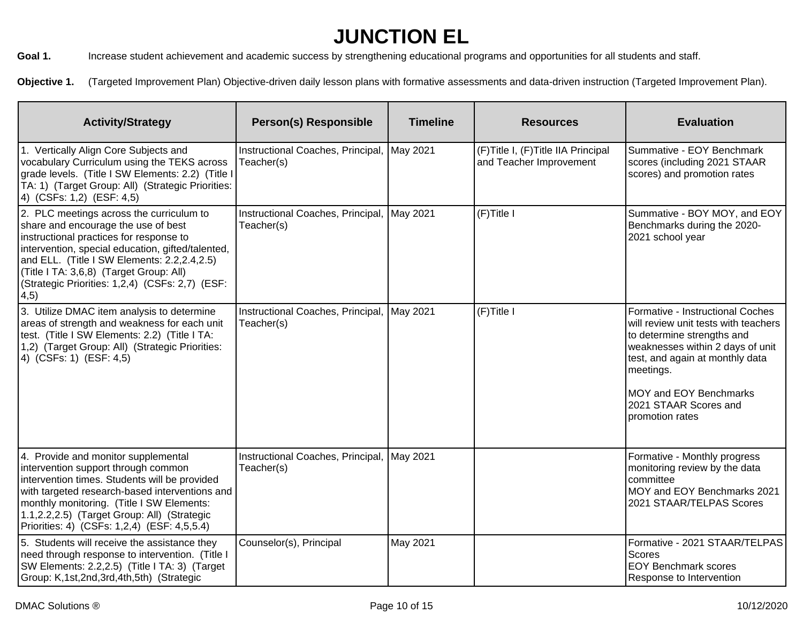Goal 1. Increase student achievement and academic success by strengthening educational programs and opportunities for all students and staff.

Objective 1. (Targeted Improvement Plan) Objective-driven daily lesson plans with formative assessments and data-driven instruction (Targeted Improvement Plan).

| <b>Activity/Strategy</b>                                                                                                                                                                                                                                                                                                                      | <b>Person(s) Responsible</b>                             | <b>Timeline</b> | <b>Resources</b>                                                | <b>Evaluation</b>                                                                                                                                                                                                                                                |
|-----------------------------------------------------------------------------------------------------------------------------------------------------------------------------------------------------------------------------------------------------------------------------------------------------------------------------------------------|----------------------------------------------------------|-----------------|-----------------------------------------------------------------|------------------------------------------------------------------------------------------------------------------------------------------------------------------------------------------------------------------------------------------------------------------|
| 1. Vertically Align Core Subjects and<br>vocabulary Curriculum using the TEKS across<br>grade levels. (Title I SW Elements: 2.2) (Title I<br>TA: 1) (Target Group: All) (Strategic Priorities:<br>4) (CSFs: 1,2) (ESF: 4,5)                                                                                                                   | Instructional Coaches, Principal, May 2021<br>Teacher(s) |                 | (F) Title I, (F) Title IIA Principal<br>and Teacher Improvement | Summative - EOY Benchmark<br>scores (including 2021 STAAR<br>scores) and promotion rates                                                                                                                                                                         |
| 2. PLC meetings across the curriculum to<br>share and encourage the use of best<br>instructional practices for response to<br>intervention, special education, gifted/talented,<br>and ELL. (Title I SW Elements: 2.2,2.4,2.5)<br>(Title I TA: 3,6,8) (Target Group: All)<br>(Strategic Priorities: 1,2,4) (CSFs: 2,7) (ESF:<br>$ 4,5\rangle$ | Instructional Coaches, Principal,<br>Teacher(s)          | May 2021        | (F)Title I                                                      | Summative - BOY MOY, and EOY<br>Benchmarks during the 2020-<br>2021 school year                                                                                                                                                                                  |
| 3. Utilize DMAC item analysis to determine<br>areas of strength and weakness for each unit<br>test. (Title I SW Elements: 2.2) (Title I TA:<br>1,2) (Target Group: All) (Strategic Priorities:<br>4) (CSFs: 1) (ESF: 4,5)                                                                                                                     | Instructional Coaches, Principal, May 2021<br>Teacher(s) |                 | $(F)$ Title I                                                   | Formative - Instructional Coches<br>will review unit tests with teachers<br>to determine strengths and<br>weaknesses within 2 days of unit<br>test, and again at monthly data<br>meetings.<br>MOY and EOY Benchmarks<br>2021 STAAR Scores and<br>promotion rates |
| 4. Provide and monitor supplemental<br>intervention support through common<br>intervention times. Students will be provided<br>with targeted research-based interventions and<br>monthly monitoring. (Title I SW Elements:<br>1.1,2.2,2.5) (Target Group: All) (Strategic<br>Priorities: 4) (CSFs: 1,2,4) (ESF: 4,5,5.4)                      | Instructional Coaches, Principal, May 2021<br>Teacher(s) |                 |                                                                 | Formative - Monthly progress<br>monitoring review by the data<br>committee<br>MOY and EOY Benchmarks 2021<br>2021 STAAR/TELPAS Scores                                                                                                                            |
| 5. Students will receive the assistance they<br>need through response to intervention. (Title I<br>SW Elements: 2.2,2.5) (Title I TA: 3) (Target<br>Group: K,1st,2nd,3rd,4th,5th) (Strategic                                                                                                                                                  | Counselor(s), Principal                                  | <b>May 2021</b> |                                                                 | Formative - 2021 STAAR/TELPAS<br><b>Scores</b><br><b>EOY Benchmark scores</b><br>Response to Intervention                                                                                                                                                        |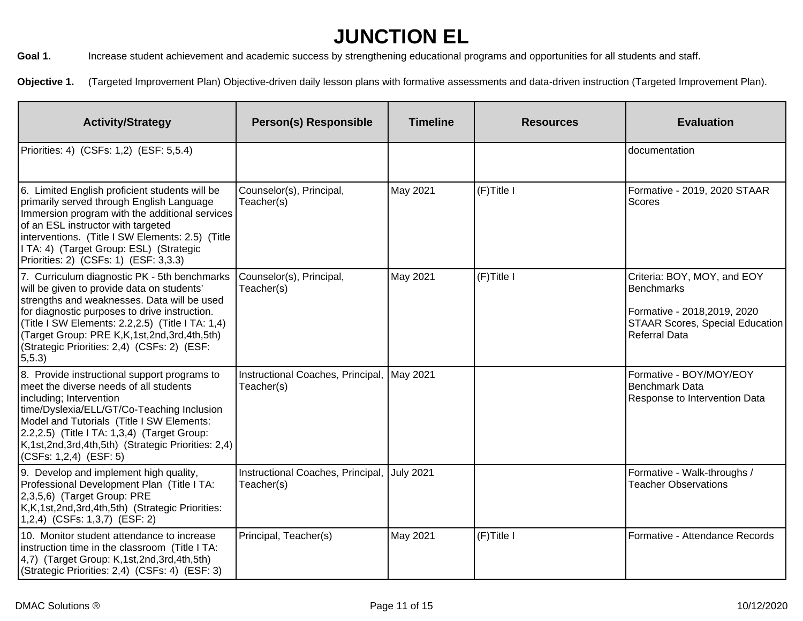Goal 1. Increase student achievement and academic success by strengthening educational programs and opportunities for all students and staff.

Objective 1. (Targeted Improvement Plan) Objective-driven daily lesson plans with formative assessments and data-driven instruction (Targeted Improvement Plan).

| <b>Activity/Strategy</b>                                                                                                                                                                                                                                                                                                                                              | <b>Person(s) Responsible</b>                               | <b>Timeline</b>  | <b>Resources</b> | <b>Evaluation</b>                                                                                                                           |
|-----------------------------------------------------------------------------------------------------------------------------------------------------------------------------------------------------------------------------------------------------------------------------------------------------------------------------------------------------------------------|------------------------------------------------------------|------------------|------------------|---------------------------------------------------------------------------------------------------------------------------------------------|
| Priorities: 4) (CSFs: 1,2) (ESF: 5,5.4)                                                                                                                                                                                                                                                                                                                               |                                                            |                  |                  | documentation                                                                                                                               |
| 6. Limited English proficient students will be<br>primarily served through English Language<br>Immersion program with the additional services<br>of an ESL instructor with targeted<br>interventions. (Title I SW Elements: 2.5) (Title<br>I TA: 4) (Target Group: ESL) (Strategic<br>Priorities: 2) (CSFs: 1) (ESF: 3,3.3)                                           | Counselor(s), Principal,<br>Teacher(s)                     | May 2021         | (F)Title I       | Formative - 2019, 2020 STAAR<br>Scores                                                                                                      |
| 7. Curriculum diagnostic PK - 5th benchmarks<br>will be given to provide data on students'<br>strengths and weaknesses. Data will be used<br>for diagnostic purposes to drive instruction.<br>(Title I SW Elements: 2.2,2.5) (Title I TA: 1,4)<br>(Target Group: PRE K, K, 1st, 2nd, 3rd, 4th, 5th)<br>(Strategic Priorities: 2,4) (CSFs: 2) (ESF:<br>$ 5,5.3\rangle$ | Counselor(s), Principal,<br>Teacher(s)                     | May 2021         | (F)Title I       | Criteria: BOY, MOY, and EOY<br><b>Benchmarks</b><br>Formative - 2018, 2019, 2020<br><b>STAAR Scores, Special Education</b><br>Referral Data |
| 8. Provide instructional support programs to<br>meet the diverse needs of all students<br>including; Intervention<br>time/Dyslexia/ELL/GT/Co-Teaching Inclusion<br>Model and Tutorials (Title I SW Elements:<br>2.2,2.5) (Title I TA: 1,3,4) (Target Group:<br>K,1st,2nd,3rd,4th,5th) (Strategic Priorities: 2,4)<br>(CSFs: 1,2,4) (ESF: 5)                           | Instructional Coaches, Principal,   May 2021<br>Teacher(s) |                  |                  | Formative - BOY/MOY/EOY<br>Benchmark Data<br>Response to Intervention Data                                                                  |
| 9. Develop and implement high quality,<br>Professional Development Plan (Title I TA:<br>2,3,5,6) (Target Group: PRE<br>K,K,1st,2nd,3rd,4th,5th) (Strategic Priorities:<br>$(1,2,4)$ (CSFs: 1,3,7) (ESF: 2)                                                                                                                                                            | Instructional Coaches, Principal,<br>Teacher(s)            | <b>July 2021</b> |                  | Formative - Walk-throughs /<br><b>Teacher Observations</b>                                                                                  |
| 10. Monitor student attendance to increase<br>Instruction time in the classroom (Title I TA:<br>$(4,7)$ (Target Group: K, 1st, 2nd, 3rd, 4th, 5th)<br>(Strategic Priorities: 2,4) (CSFs: 4) (ESF: 3)                                                                                                                                                                  | Principal, Teacher(s)                                      | May 2021         | (F)Title I       | Formative - Attendance Records                                                                                                              |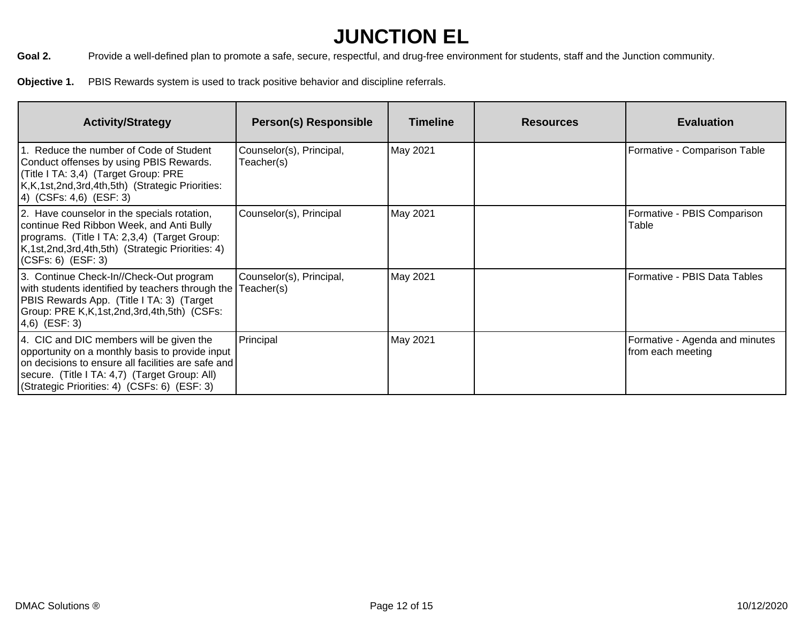Goal 2. Provide a well-defined plan to promote a safe, secure, respectful, and drug-free environment for students, staff and the Junction community.

**Objective 1.** PBIS Rewards system is used to track positive behavior and discipline referrals.

| <b>Activity/Strategy</b>                                                                                                                                                                                                                           | <b>Person(s) Responsible</b>           | <b>Timeline</b> | <b>Resources</b> | <b>Evaluation</b>                                   |
|----------------------------------------------------------------------------------------------------------------------------------------------------------------------------------------------------------------------------------------------------|----------------------------------------|-----------------|------------------|-----------------------------------------------------|
| 1. Reduce the number of Code of Student<br>Conduct offenses by using PBIS Rewards.<br>(Title I TA: 3,4) (Target Group: PRE<br>K, K, 1st, 2nd, 3rd, 4th, 5th) (Strategic Priorities:<br>(4) (CSFs: 4,6) (ESF: 3)                                    | Counselor(s), Principal,<br>Teacher(s) | May 2021        |                  | Formative - Comparison Table                        |
| 2. Have counselor in the specials rotation,<br>continue Red Ribbon Week, and Anti Bully<br>programs. (Title I TA: 2,3,4) (Target Group:<br>K, 1st, 2nd, 3rd, 4th, 5th) (Strategic Priorities: 4)<br>$(CSFs: 6)$ $(ESF: 3)$                         | Counselor(s), Principal                | May 2021        |                  | Formative - PBIS Comparison<br>Table                |
| 3. Continue Check-In//Check-Out program<br>with students identified by teachers through the<br>PBIS Rewards App. (Title I TA: 3) (Target<br>Group: PRE K, K, 1st, 2nd, 3rd, 4th, 5th) (CSFs:<br> 4,6) (ESF: 3)                                     | Counselor(s), Principal,<br>Teacher(s) | May 2021        |                  | Formative - PBIS Data Tables                        |
| 4. CIC and DIC members will be given the<br>opportunity on a monthly basis to provide input<br>on decisions to ensure all facilities are safe and<br>secure. (Title I TA: 4,7) (Target Group: All)<br>(Strategic Priorities: 4) (CSFs: 6) (ESF: 3) | Principal                              | May 2021        |                  | Formative - Agenda and minutes<br>from each meeting |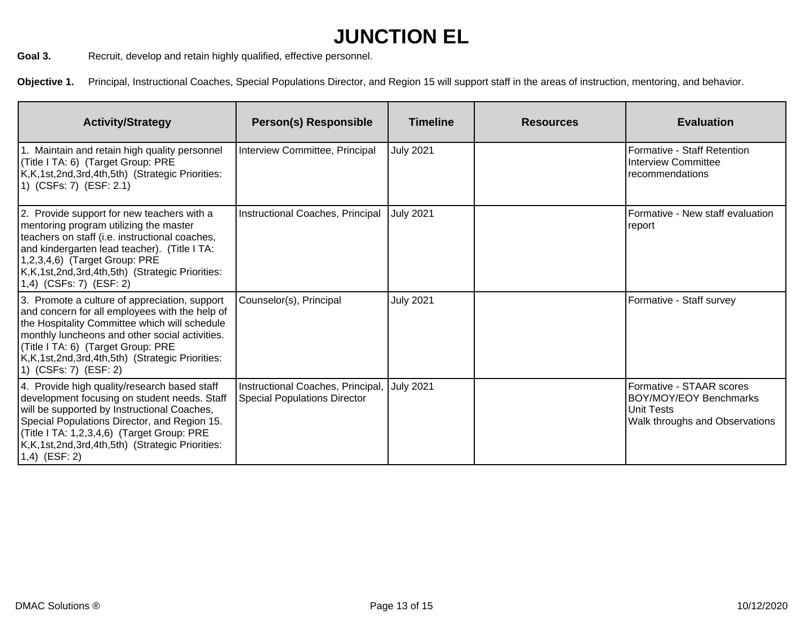Goal 3. Recruit, develop and retain highly qualified, effective personnel.

**Objective 1.** Principal, Instructional Coaches, Special Populations Director, and Region 15 will support staff in the areas of instruction, mentoring, and behavior.

| <b>Activity/Strategy</b>                                                                                                                                                                                                                                                                                             | <b>Person(s) Responsible</b>                                             | <b>Timeline</b>  | <b>Resources</b> | <b>Evaluation</b>                                                                                  |
|----------------------------------------------------------------------------------------------------------------------------------------------------------------------------------------------------------------------------------------------------------------------------------------------------------------------|--------------------------------------------------------------------------|------------------|------------------|----------------------------------------------------------------------------------------------------|
| 1. Maintain and retain high quality personnel<br>(Title I TA: 6) (Target Group: PRE<br>K,K,1st,2nd,3rd,4th,5th) (Strategic Priorities:<br>1) (CSFs: 7) (ESF: 2.1)                                                                                                                                                    | Interview Committee, Principal                                           | <b>July 2021</b> |                  | Formative - Staff Retention<br>Interview Committee<br>recommendations                              |
| 2. Provide support for new teachers with a<br>mentoring program utilizing the master<br>teachers on staff (i.e. instructional coaches,<br>and kindergarten lead teacher). (Title I TA:<br>1,2,3,4,6) (Target Group: PRE<br>K,K,1st,2nd,3rd,4th,5th) (Strategic Priorities:<br>1,4) (CSFs: 7) (ESF: 2)                | Instructional Coaches, Principal                                         | <b>July 2021</b> |                  | Formative - New staff evaluation<br>report                                                         |
| 3. Promote a culture of appreciation, support<br>and concern for all employees with the help of<br>the Hospitality Committee which will schedule<br>monthly luncheons and other social activities.<br>(Title I TA: 6) (Target Group: PRE<br>K,K,1st,2nd,3rd,4th,5th) (Strategic Priorities:<br>1) (CSFs: 7) (ESF: 2) | Counselor(s), Principal                                                  | <b>July 2021</b> |                  | Formative - Staff survey                                                                           |
| 4. Provide high quality/research based staff<br>development focusing on student needs. Staff<br>will be supported by Instructional Coaches,<br>Special Populations Director, and Region 15.<br>(Title I TA: 1,2,3,4,6) (Target Group: PRE<br>K,K,1st,2nd,3rd,4th,5th) (Strategic Priorities:<br>$1,4)$ (ESF: 2)      | Instructional Coaches, Principal,<br><b>Special Populations Director</b> | <b>July 2021</b> |                  | Formative - STAAR scores<br>BOY/MOY/EOY Benchmarks<br>Unit Tests<br>Walk throughs and Observations |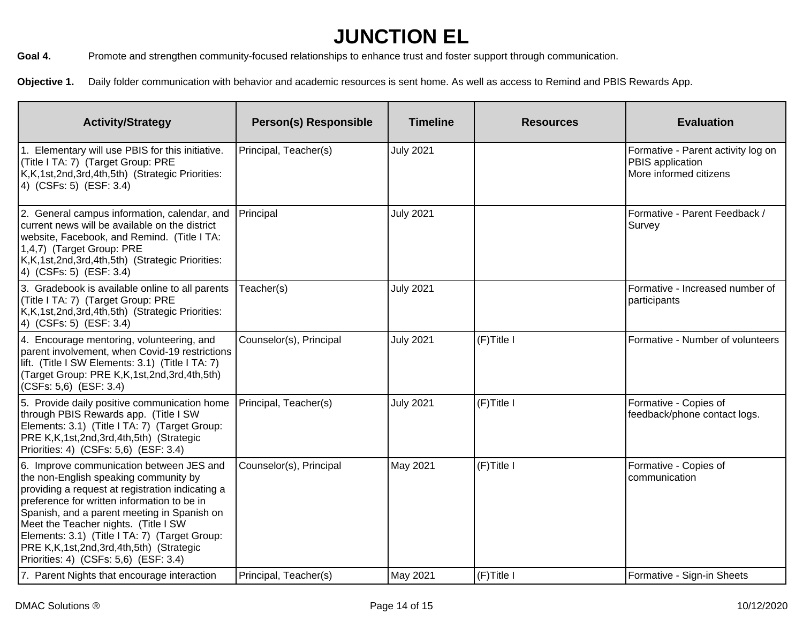Goal 4. Promote and strengthen community-focused relationships to enhance trust and foster support through communication.

**Objective 1.** Daily folder communication with behavior and academic resources is sent home. As well as access to Remind and PBIS Rewards App.

| <b>Activity/Strategy</b>                                                                                                                                                                                                                                                                                                                                                                                               | <b>Person(s) Responsible</b> | <b>Timeline</b>  | <b>Resources</b> | <b>Evaluation</b>                                                                |
|------------------------------------------------------------------------------------------------------------------------------------------------------------------------------------------------------------------------------------------------------------------------------------------------------------------------------------------------------------------------------------------------------------------------|------------------------------|------------------|------------------|----------------------------------------------------------------------------------|
| 1. Elementary will use PBIS for this initiative.<br>(Title I TA: 7) (Target Group: PRE<br>K,K,1st,2nd,3rd,4th,5th) (Strategic Priorities:<br>4) (CSFs: 5) (ESF: 3.4)                                                                                                                                                                                                                                                   | Principal, Teacher(s)        | <b>July 2021</b> |                  | Formative - Parent activity log on<br>PBIS application<br>More informed citizens |
| 2. General campus information, calendar, and<br>current news will be available on the district<br>website, Facebook, and Remind. (Title I TA:<br>1,4,7) (Target Group: PRE<br>K,K,1st,2nd,3rd,4th,5th) (Strategic Priorities:<br>4) (CSFs: 5) (ESF: 3.4)                                                                                                                                                               | Principal                    | <b>July 2021</b> |                  | Formative - Parent Feedback /<br>Survey                                          |
| 3. Gradebook is available online to all parents<br>(Title I TA: 7) (Target Group: PRE<br>K,K,1st,2nd,3rd,4th,5th) (Strategic Priorities:<br>4) (CSFs: 5) (ESF: 3.4)                                                                                                                                                                                                                                                    | Teacher(s)                   | <b>July 2021</b> |                  | Formative - Increased number of<br>participants                                  |
| 4. Encourage mentoring, volunteering, and<br>parent involvement, when Covid-19 restrictions<br>lift. (Title I SW Elements: 3.1) (Title I TA: 7)<br>(Target Group: PRE K, K, 1st, 2nd, 3rd, 4th, 5th)<br>(CSFs: 5,6) (ESF: 3.4)                                                                                                                                                                                         | Counselor(s), Principal      | <b>July 2021</b> | (F)Title I       | Formative - Number of volunteers                                                 |
| 5. Provide daily positive communication home<br>through PBIS Rewards app. (Title I SW<br>Elements: 3.1) (Title I TA: 7) (Target Group:<br>PRE K, K, 1st, 2nd, 3rd, 4th, 5th) (Strategic<br>Priorities: 4) (CSFs: 5,6) (ESF: 3.4)                                                                                                                                                                                       | Principal, Teacher(s)        | <b>July 2021</b> | (F)Title I       | Formative - Copies of<br>feedback/phone contact logs.                            |
| 6. Improve communication between JES and<br>the non-English speaking community by<br>providing a request at registration indicating a<br>preference for written information to be in<br>Spanish, and a parent meeting in Spanish on<br>Meet the Teacher nights. (Title I SW<br>Elements: 3.1) (Title I TA: 7) (Target Group:<br>PRE K, K, 1st, 2nd, 3rd, 4th, 5th) (Strategic<br>Priorities: 4) (CSFs: 5,6) (ESF: 3.4) | Counselor(s), Principal      | May 2021         | (F)Title I       | Formative - Copies of<br>communication                                           |
| 7. Parent Nights that encourage interaction                                                                                                                                                                                                                                                                                                                                                                            | Principal, Teacher(s)        | May 2021         | (F)Title I       | Formative - Sign-in Sheets                                                       |